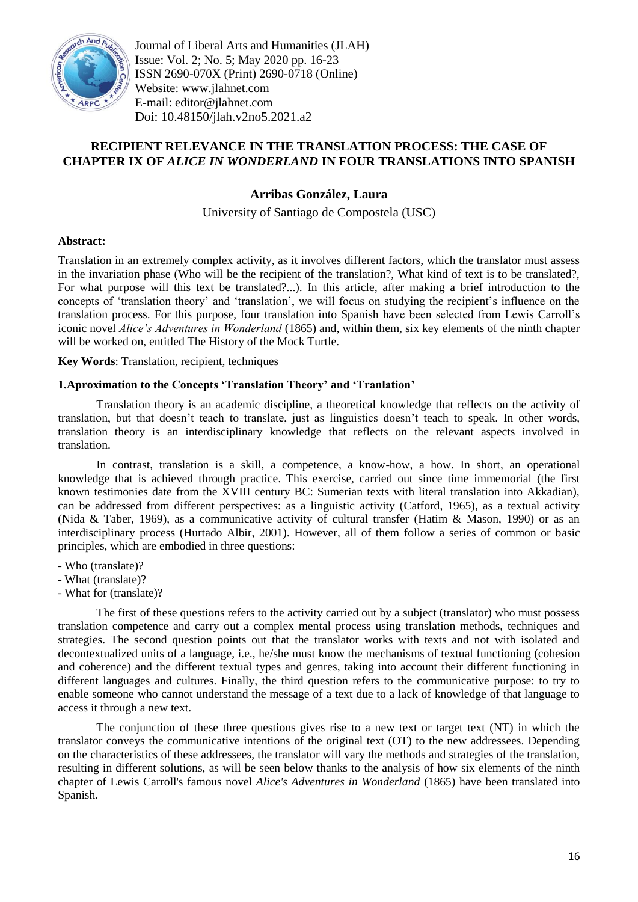

Journal of Liberal Arts and Humanities (JLAH) Issue: Vol. 2; No. 5; May 2020 pp. 16-23 ISSN 2690-070X (Print) 2690-0718 (Online) Website: www.jlahnet.com E-mail: editor@jlahnet.com Doi: 10.48150/jlah.v2no5.2021.a2

# **RECIPIENT RELEVANCE IN THE TRANSLATION PROCESS: THE CASE OF CHAPTER IX OF** *ALICE IN WONDERLAND* **IN FOUR TRANSLATIONS INTO SPANISH**

## **Arribas González, Laura**

University of Santiago de Compostela (USC)

## **Abstract:**

Translation in an extremely complex activity, as it involves different factors, which the translator must assess in the invariation phase (Who will be the recipient of the translation?, What kind of text is to be translated?, For what purpose will this text be translated?...). In this article, after making a brief introduction to the concepts of 'translation theory' and 'translation', we will focus on studying the recipient's influence on the translation process. For this purpose, four translation into Spanish have been selected from Lewis Carroll's iconic novel *Alice's Adventures in Wonderland* (1865) and, within them, six key elements of the ninth chapter will be worked on, entitled The History of the Mock Turtle.

**Key Words**: Translation, recipient, techniques

#### **1.Aproximation to the Concepts 'Translation Theory' and 'Tranlation'**

Translation theory is an academic discipline, a theoretical knowledge that reflects on the activity of translation, but that doesn't teach to translate, just as linguistics doesn't teach to speak. In other words, translation theory is an interdisciplinary knowledge that reflects on the relevant aspects involved in translation.

In contrast, translation is a skill, a competence, a know-how, a how. In short, an operational knowledge that is achieved through practice. This exercise, carried out since time immemorial (the first known testimonies date from the XVIII century BC: Sumerian texts with literal translation into Akkadian), can be addressed from different perspectives: as a linguistic activity (Catford, 1965), as a textual activity (Nida & Taber, 1969), as a communicative activity of cultural transfer (Hatim & Mason, 1990) or as an interdisciplinary process (Hurtado Albir, 2001). However, all of them follow a series of common or basic principles, which are embodied in three questions:

- Who (translate)?
- What (translate)?
- What for (translate)?

The first of these questions refers to the activity carried out by a subject (translator) who must possess translation competence and carry out a complex mental process using translation methods, techniques and strategies. The second question points out that the translator works with texts and not with isolated and decontextualized units of a language, i.e., he/she must know the mechanisms of textual functioning (cohesion and coherence) and the different textual types and genres, taking into account their different functioning in different languages and cultures. Finally, the third question refers to the communicative purpose: to try to enable someone who cannot understand the message of a text due to a lack of knowledge of that language to access it through a new text.

The conjunction of these three questions gives rise to a new text or target text (NT) in which the translator conveys the communicative intentions of the original text (OT) to the new addressees. Depending on the characteristics of these addressees, the translator will vary the methods and strategies of the translation, resulting in different solutions, as will be seen below thanks to the analysis of how six elements of the ninth chapter of Lewis Carroll's famous novel *Alice's Adventures in Wonderland* (1865) have been translated into Spanish.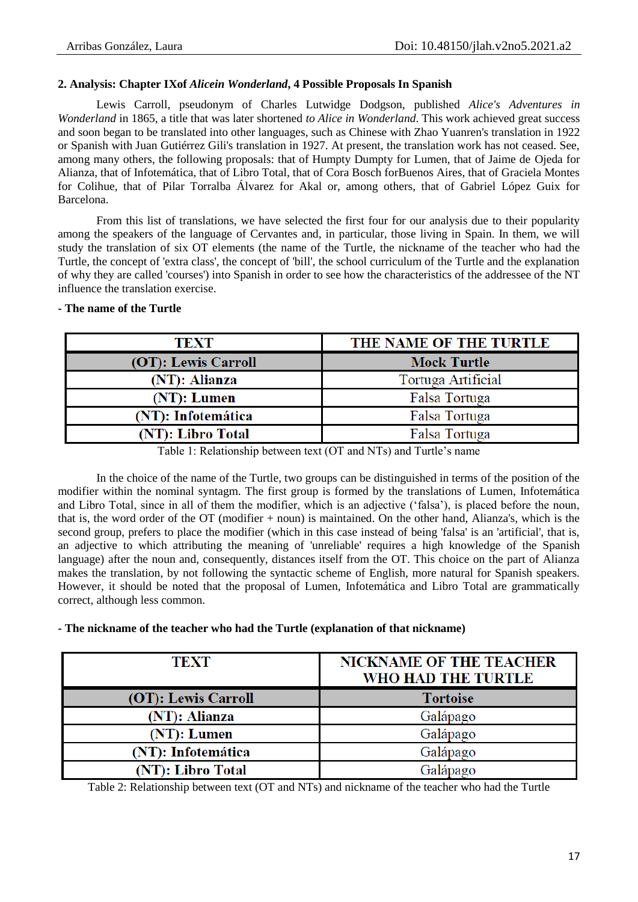## **2. Analysis: Chapter IXof** *Alicein Wonderland***, 4 Possible Proposals In Spanish**

Lewis Carroll, pseudonym of Charles Lutwidge Dodgson, published *Alice's Adventures in Wonderland* in 1865, a title that was later shortened *to Alice in Wonderland*. This work achieved great success and soon began to be translated into other languages, such as Chinese with Zhao Yuanren's translation in 1922 or Spanish with Juan Gutiérrez Gili's translation in 1927. At present, the translation work has not ceased. See, among many others, the following proposals: that of Humpty Dumpty for Lumen, that of Jaime de Ojeda for Alianza, that of Infotemática, that of Libro Total, that of Cora Bosch forBuenos Aires, that of Graciela Montes for Colihue, that of Pilar Torralba Álvarez for Akal or, among others, that of Gabriel López Guix for Barcelona.

From this list of translations, we have selected the first four for our analysis due to their popularity among the speakers of the language of Cervantes and, in particular, those living in Spain. In them, we will study the translation of six OT elements (the name of the Turtle, the nickname of the teacher who had the Turtle, the concept of 'extra class', the concept of 'bill', the school curriculum of the Turtle and the explanation of why they are called 'courses') into Spanish in order to see how the characteristics of the addressee of the NT influence the translation exercise.

## **- The name of the Turtle**

| TEXT                | THE NAME OF THE TURTLE |
|---------------------|------------------------|
| (OT): Lewis Carroll | <b>Mock Turtle</b>     |
| (NT): Alianza       | Tortuga Artificial     |
| (NT): Lumen         | Falsa Tortuga          |
| (NT): Infotemática  | Falsa Tortuga          |
| (NT): Libro Total   | Falsa Tortuga          |

Table 1: Relationship between text (OT and NTs) and Turtle's name

In the choice of the name of the Turtle, two groups can be distinguished in terms of the position of the modifier within the nominal syntagm. The first group is formed by the translations of Lumen, Infotemática and Libro Total, since in all of them the modifier, which is an adjective ('falsa'), is placed before the noun, that is, the word order of the OT (modifier + noun) is maintained. On the other hand, Alianza's, which is the second group, prefers to place the modifier (which in this case instead of being 'falsa' is an 'artificial', that is, an adjective to which attributing the meaning of 'unreliable' requires a high knowledge of the Spanish language) after the noun and, consequently, distances itself from the OT. This choice on the part of Alianza makes the translation, by not following the syntactic scheme of English, more natural for Spanish speakers. However, it should be noted that the proposal of Lumen, Infotemática and Libro Total are grammatically correct, although less common.

#### **- The nickname of the teacher who had the Turtle (explanation of that nickname)**

| <b>TEXT</b>         | <b>NICKNAME OF THE TEACHER</b><br>WHO HAD THE TURTLE |
|---------------------|------------------------------------------------------|
| (OT): Lewis Carroll | <b>Tortoise</b>                                      |
| (NT): Alianza       | Galápago                                             |
| $(NT)$ : Lumen      | Galápago                                             |
| (NT): Infotemática  | Galápago                                             |
| (NT): Libro Total   | Falápago                                             |

Table 2: Relationship between text (OT and NTs) and nickname of the teacher who had the Turtle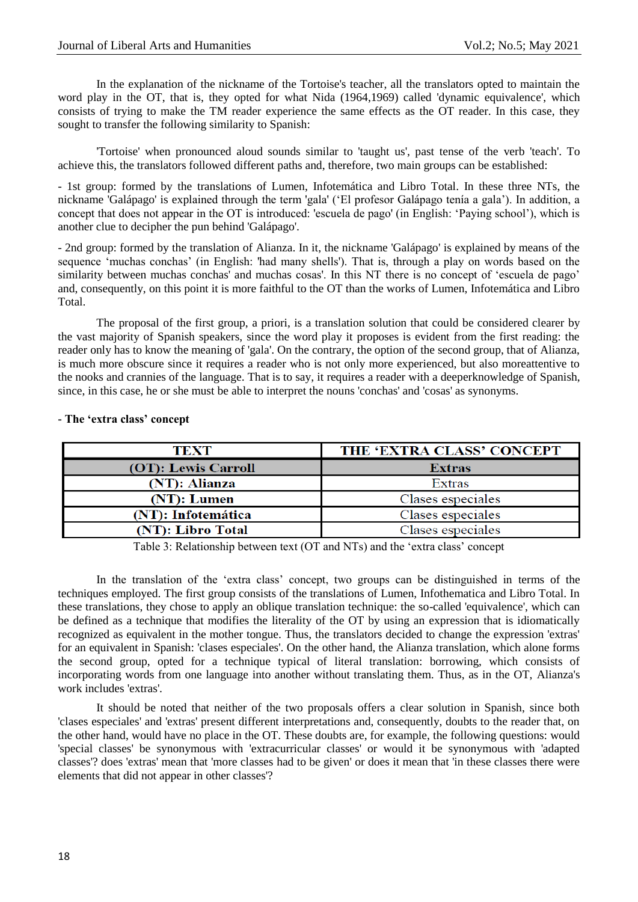In the explanation of the nickname of the Tortoise's teacher, all the translators opted to maintain the word play in the OT, that is, they opted for what Nida (1964,1969) called 'dynamic equivalence', which consists of trying to make the TM reader experience the same effects as the OT reader. In this case, they sought to transfer the following similarity to Spanish:

'Tortoise' when pronounced aloud sounds similar to 'taught us', past tense of the verb 'teach'. To achieve this, the translators followed different paths and, therefore, two main groups can be established:

- 1st group: formed by the translations of Lumen, Infotemática and Libro Total. In these three NTs, the nickname 'Galápago' is explained through the term 'gala' ('El profesor Galápago tenía a gala'). In addition, a concept that does not appear in the OT is introduced: 'escuela de pago' (in English: 'Paying school'), which is another clue to decipher the pun behind 'Galápago'.

- 2nd group: formed by the translation of Alianza. In it, the nickname 'Galápago' is explained by means of the sequence 'muchas conchas' (in English: 'had many shells'). That is, through a play on words based on the similarity between muchas conchas' and muchas cosas'. In this NT there is no concept of 'escuela de pago' and, consequently, on this point it is more faithful to the OT than the works of Lumen, Infotemática and Libro Total.

The proposal of the first group, a priori, is a translation solution that could be considered clearer by the vast majority of Spanish speakers, since the word play it proposes is evident from the first reading: the reader only has to know the meaning of 'gala'. On the contrary, the option of the second group, that of Alianza, is much more obscure since it requires a reader who is not only more experienced, but also moreattentive to the nooks and crannies of the language. That is to say, it requires a reader with a deeperknowledge of Spanish, since, in this case, he or she must be able to interpret the nouns 'conchas' and 'cosas' as synonyms.

| TEXT                | THE 'EXTRA CLASS' CONCEPT |
|---------------------|---------------------------|
| (OT): Lewis Carroll | <b>Extras</b>             |
| (NT): Alianza       | Extras                    |
| $(NT):$ Lumen       | Clases especiales         |
| (NT): Infotemática  | Clases especiales         |
| (NT): Libro Total   | Clases especiales         |

#### **- The 'extra class' concept**

Table 3: Relationship between text (OT and NTs) and the 'extra class' concept

In the translation of the 'extra class' concept, two groups can be distinguished in terms of the techniques employed. The first group consists of the translations of Lumen, Infothematica and Libro Total. In these translations, they chose to apply an oblique translation technique: the so-called 'equivalence', which can be defined as a technique that modifies the literality of the OT by using an expression that is idiomatically recognized as equivalent in the mother tongue. Thus, the translators decided to change the expression 'extras' for an equivalent in Spanish: 'clases especiales'. On the other hand, the Alianza translation, which alone forms the second group, opted for a technique typical of literal translation: borrowing, which consists of incorporating words from one language into another without translating them. Thus, as in the OT, Alianza's work includes 'extras'.

It should be noted that neither of the two proposals offers a clear solution in Spanish, since both 'clases especiales' and 'extras' present different interpretations and, consequently, doubts to the reader that, on the other hand, would have no place in the OT. These doubts are, for example, the following questions: would 'special classes' be synonymous with 'extracurricular classes' or would it be synonymous with 'adapted classes'? does 'extras' mean that 'more classes had to be given' or does it mean that 'in these classes there were elements that did not appear in other classes'?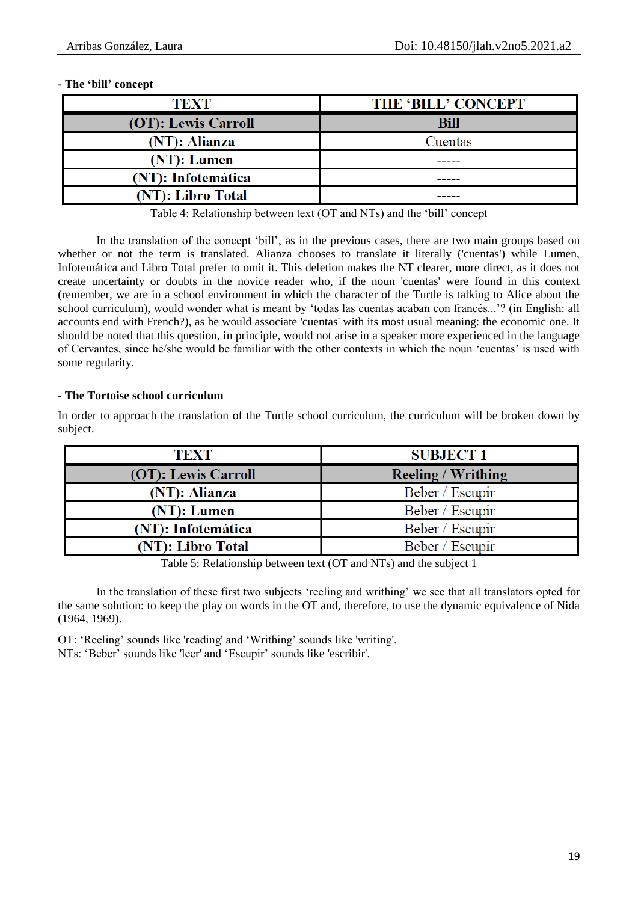## **- The 'bill' concept**

| <b>TEXT</b>         | <b>THE 'BILL' CONCEPT</b> |
|---------------------|---------------------------|
| (OT): Lewis Carroll | <b>Bill</b>               |
| (NT): Alianza       | Cuentas                   |
| $(NT)$ : Lumen      |                           |
| (NT): Infotemática  |                           |
| (NT): Libro Total   |                           |

Table 4: Relationship between text (OT and NTs) and the 'bill' concept

In the translation of the concept 'bill', as in the previous cases, there are two main groups based on whether or not the term is translated. Alianza chooses to translate it literally ('cuentas') while Lumen, Infotemática and Libro Total prefer to omit it. This deletion makes the NT clearer, more direct, as it does not create uncertainty or doubts in the novice reader who, if the noun 'cuentas' were found in this context (remember, we are in a school environment in which the character of the Turtle is talking to Alice about the school curriculum), would wonder what is meant by 'todas las cuentas acaban con francés...'? (in English: all accounts end with French?), as he would associate 'cuentas' with its most usual meaning: the economic one. It should be noted that this question, in principle, would not arise in a speaker more experienced in the language of Cervantes, since he/she would be familiar with the other contexts in which the noun 'cuentas' is used with some regularity.

## **- The Tortoise school curriculum**

| <b>TEXT</b>         | <b>SUBJECT 1</b>          |
|---------------------|---------------------------|
| (OT): Lewis Carroll | <b>Reeling / Writhing</b> |
| (NT): Alianza       | Beber / Escupir           |
| $(NT)$ : Lumen      | Beber / Escupir           |
| (NT): Infotemática  | Beber / Escupir           |
| (NT): Libro Total   | Beber / Escupir           |

In order to approach the translation of the Turtle school curriculum, the curriculum will be broken down by subject.

Table 5: Relationship between text (OT and NTs) and the subject 1

In the translation of these first two subjects 'reeling and writhing' we see that all translators opted for the same solution: to keep the play on words in the OT and, therefore, to use the dynamic equivalence of Nida (1964, 1969).

OT: 'Reeling' sounds like 'reading' and 'Writhing' sounds like 'writing'. NTs: 'Beber' sounds like 'leer' and 'Escupir' sounds like 'escribir'.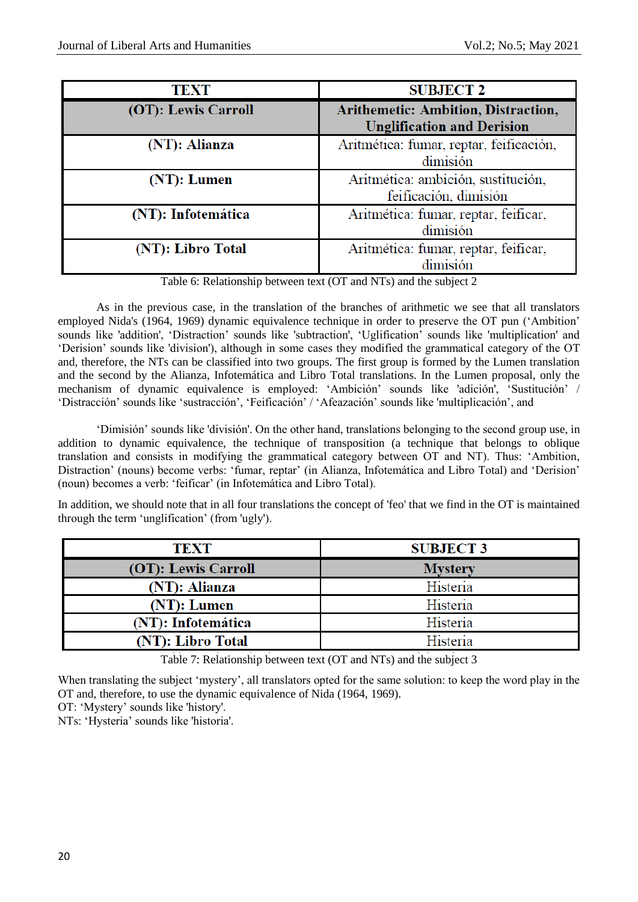| <b>TEXT</b>         | <b>SUBJECT 2</b>                                                                |
|---------------------|---------------------------------------------------------------------------------|
| (OT): Lewis Carroll | <b>Arithemetic: Ambition, Distraction,</b><br><b>Unglification and Derision</b> |
| (NT): Alianza       | Aritmética: fumar, reptar, feificación,<br>dimisión                             |
| (NT): Lumen         | Aritmética: ambición, sustitución,<br>feificación, dimisión                     |
| (NT): Infotemática  | Aritmética: fumar, reptar, feificar,<br>dimisión                                |
| (NT): Libro Total   | Aritmética: fumar, reptar, feificar,<br>dimisión                                |

Table 6: Relationship between text (OT and NTs) and the subject 2

As in the previous case, in the translation of the branches of arithmetic we see that all translators employed Nida's (1964, 1969) dynamic equivalence technique in order to preserve the OT pun ('Ambition' sounds like 'addition', 'Distraction' sounds like 'subtraction', 'Uglification' sounds like 'multiplication' and 'Derision' sounds like 'division'), although in some cases they modified the grammatical category of the OT and, therefore, the NTs can be classified into two groups. The first group is formed by the Lumen translation and the second by the Alianza, Infotemática and Libro Total translations. In the Lumen proposal, only the mechanism of dynamic equivalence is employed: 'Ambición' sounds like 'adición', 'Sustitución' / 'Distracción' sounds like 'sustracción', 'Feificación' / 'Afeazación' sounds like 'multiplicación', and

'Dimisión' sounds like 'división'. On the other hand, translations belonging to the second group use, in addition to dynamic equivalence, the technique of transposition (a technique that belongs to oblique translation and consists in modifying the grammatical category between OT and NT). Thus: 'Ambition, Distraction' (nouns) become verbs: 'fumar, reptar' (in Alianza, Infotemática and Libro Total) and 'Derision' (noun) becomes a verb: 'feificar' (in Infotemática and Libro Total).

In addition, we should note that in all four translations the concept of 'feo' that we find in the OT is maintained through the term 'unglification' (from 'ugly').

| <b>TEXT</b>         | <b>SUBJECT 3</b> |
|---------------------|------------------|
| (OT): Lewis Carroll | <b>Mystery</b>   |
| (NT): Alianza       | Histeria         |
| (NT): Lumen         | Histeria         |
| (NT): Infotemática  | Histeria         |
| (NT): Libro Total   | Histeria         |

Table 7: Relationship between text (OT and NTs) and the subject 3

When translating the subject 'mystery', all translators opted for the same solution: to keep the word play in the OT and, therefore, to use the dynamic equivalence of Nida (1964, 1969).

OT: 'Mystery' sounds like 'history'.

NTs: 'Hysteria' sounds like 'historia'.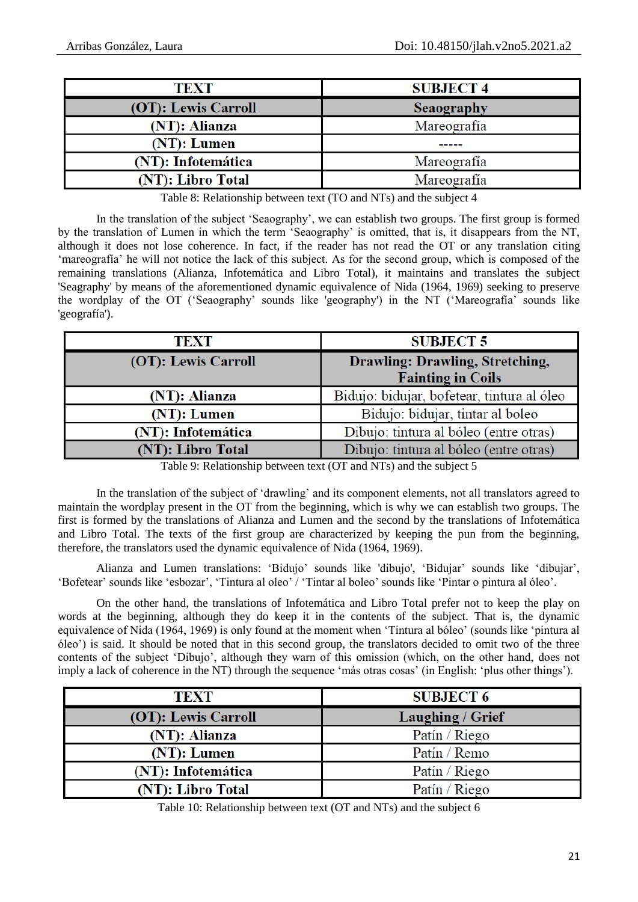| TEXT                | <b>SUBJECT 4</b> |
|---------------------|------------------|
| (OT): Lewis Carroll | Seaography       |
| (NT): Alianza       | Mareografía      |
| $(NT)$ : Lumen      |                  |
| (NT): Infotemática  | Mareografía      |
| (NT): Libro Total   | Mareografía      |

Table 8: Relationship between text (TO and NTs) and the subject 4

In the translation of the subject 'Seaography', we can establish two groups. The first group is formed by the translation of Lumen in which the term 'Seaography' is omitted, that is, it disappears from the NT, although it does not lose coherence. In fact, if the reader has not read the OT or any translation citing 'mareografía' he will not notice the lack of this subject. As for the second group, which is composed of the remaining translations (Alianza, Infotemática and Libro Total), it maintains and translates the subject 'Seagraphy' by means of the aforementioned dynamic equivalence of Nida (1964, 1969) seeking to preserve the wordplay of the OT ('Seaography' sounds like 'geography') in the NT ('Mareografía' sounds like 'geografía').

| <b>TEXT</b>         | <b>SUBJECT 5</b>                           |
|---------------------|--------------------------------------------|
| (OT): Lewis Carroll | Drawling: Drawling, Stretching,            |
|                     | <b>Fainting in Coils</b>                   |
| (NT): Alianza       | Bidujo: bidujar, bofetear, tintura al óleo |
| (NT): Lumen         | Bidujo: bidujar, tintar al boleo           |
| (NT): Infotemática  | Dibujo: tintura al bóleo (entre otras)     |
| (NT): Libro Total   | Dibujo: tintura al bóleo (entre otras)     |

Table 9: Relationship between text (OT and NTs) and the subject 5

In the translation of the subject of 'drawling' and its component elements, not all translators agreed to maintain the wordplay present in the OT from the beginning, which is why we can establish two groups. The first is formed by the translations of Alianza and Lumen and the second by the translations of Infotemática and Libro Total. The texts of the first group are characterized by keeping the pun from the beginning, therefore, the translators used the dynamic equivalence of Nida (1964, 1969).

Alianza and Lumen translations: 'Bidujo' sounds like 'dibujo', 'Bidujar' sounds like 'dibujar', 'Bofetear' sounds like 'esbozar', 'Tintura al oleo' / 'Tintar al boleo' sounds like 'Pintar o pintura al óleo'.

On the other hand, the translations of Infotemática and Libro Total prefer not to keep the play on words at the beginning, although they do keep it in the contents of the subject. That is, the dynamic equivalence of Nida (1964, 1969) is only found at the moment when 'Tintura al bóleo' (sounds like 'pintura al óleo') is said. It should be noted that in this second group, the translators decided to omit two of the three contents of the subject 'Dibujo', although they warn of this omission (which, on the other hand, does not imply a lack of coherence in the NT) through the sequence 'más otras cosas' (in English: 'plus other things').

| <b>TEXT</b>         | <b>SUBJECT 6</b>        |
|---------------------|-------------------------|
| (OT): Lewis Carroll | <b>Laughing / Grief</b> |
| (NT): Alianza       | Patín / Riego           |
| (NT): Lumen         | Patín / Remo            |
| (NT): Infotemática  | Patín / Riego           |
| (NT): Libro Total   | Patín / Riego           |

Table 10: Relationship between text (OT and NTs) and the subject 6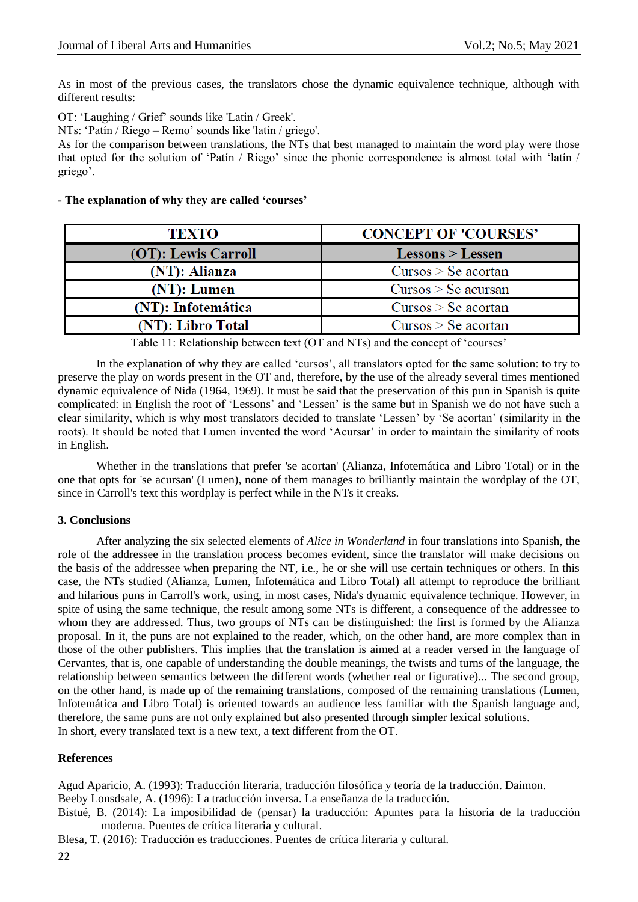As in most of the previous cases, the translators chose the dynamic equivalence technique, although with different results:

OT: 'Laughing / Grief' sounds like 'Latin / Greek'.

NTs: 'Patín / Riego – Remo' sounds like 'latín / griego'.

As for the comparison between translations, the NTs that best managed to maintain the word play were those that opted for the solution of 'Patín / Riego' since the phonic correspondence is almost total with 'latín / griego'.

#### **- The explanation of why they are called 'courses'**

| TEXTO               | <b>CONCEPT OF 'COURSES'</b> |
|---------------------|-----------------------------|
| (OT): Lewis Carroll | $Lessons > Lessen$          |
| (NT): Alianza       | Cursos > Se acortan         |
| (NT): Lumen         | $Cursos > Se$ acursan       |
| (NT): Infotemática  | $Cursos > Se$ acortan       |
| (NT): Libro Total   | $Cursos > Se$ acortan       |

Table 11: Relationship between text (OT and NTs) and the concept of 'courses'

In the explanation of why they are called 'cursos', all translators opted for the same solution: to try to preserve the play on words present in the OT and, therefore, by the use of the already several times mentioned dynamic equivalence of Nida (1964, 1969). It must be said that the preservation of this pun in Spanish is quite complicated: in English the root of 'Lessons' and 'Lessen' is the same but in Spanish we do not have such a clear similarity, which is why most translators decided to translate 'Lessen' by 'Se acortan' (similarity in the roots). It should be noted that Lumen invented the word 'Acursar' in order to maintain the similarity of roots in English.

Whether in the translations that prefer 'se acortan' (Alianza, Infotemática and Libro Total) or in the one that opts for 'se acursan' (Lumen), none of them manages to brilliantly maintain the wordplay of the OT, since in Carroll's text this wordplay is perfect while in the NTs it creaks.

#### **3. Conclusions**

After analyzing the six selected elements of *Alice in Wonderland* in four translations into Spanish, the role of the addressee in the translation process becomes evident, since the translator will make decisions on the basis of the addressee when preparing the NT, i.e., he or she will use certain techniques or others. In this case, the NTs studied (Alianza, Lumen, Infotemática and Libro Total) all attempt to reproduce the brilliant and hilarious puns in Carroll's work, using, in most cases, Nida's dynamic equivalence technique. However, in spite of using the same technique, the result among some NTs is different, a consequence of the addressee to whom they are addressed. Thus, two groups of NTs can be distinguished: the first is formed by the Alianza proposal. In it, the puns are not explained to the reader, which, on the other hand, are more complex than in those of the other publishers. This implies that the translation is aimed at a reader versed in the language of Cervantes, that is, one capable of understanding the double meanings, the twists and turns of the language, the relationship between semantics between the different words (whether real or figurative)... The second group, on the other hand, is made up of the remaining translations, composed of the remaining translations (Lumen, Infotemática and Libro Total) is oriented towards an audience less familiar with the Spanish language and, therefore, the same puns are not only explained but also presented through simpler lexical solutions. In short, every translated text is a new text, a text different from the OT.

#### **References**

Agud Aparicio, A. (1993): Traducción literaria, traducción filosófica y teoría de la traducción. Daimon.

Beeby Lonsdsale, A. (1996): La traducción inversa. La enseñanza de la traducción.

Bistué, B. (2014): La imposibilidad de (pensar) la traducción: Apuntes para la historia de la traducción moderna. Puentes de crítica literaria y cultural.

Blesa, T. (2016): Traducción es traducciones. Puentes de crítica literaria y cultural.